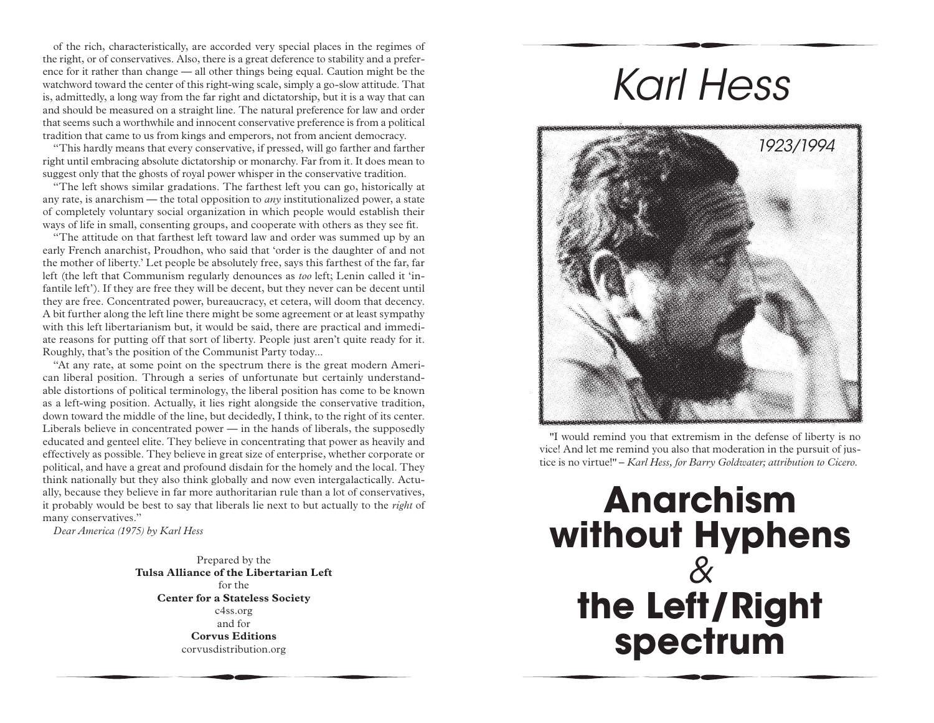of the rich, characteristically, are accorded very special places in the regimes of the right, or of conservatives. Also, there is a great deference to stability and a preference for it rather than change — all other things being equal. Caution might be the watchword toward the center of this right-wing scale, simply a go-slow attitude. That is, admittedly, a long way from the far right and dictatorship, but it is a way that can and should be measured on a straight line. The natural preference for law and order that seems such a worthwhile and innocent conservative preference is from a political tradition that came to us from kings and emperors, not from ancient democracy.

"This hardly means that every conservative, if pressed, will go farther and farther right until embracing absolute dictatorship or monarchy. Far from it. It does mean to suggest only that the ghosts of royal power whisper in the conservative tradition.

"The left shows similar gradations. The farthest left you can go, historically at any rate, is anarchism — the total opposition to *any* institutionalized power, a state of completely voluntary social organization in which people would establish their ways of life in small, consenting groups, and cooperate with others as they see fit.

"The attitude on that farthest left toward law and order was summed up by an early French anarchist, Proudhon, who said that 'order is the daughter of and not the mother of liberty.' Let people be absolutely free, says this farthest of the far, far left (the left that Communism regularly denounces as *too* left; Lenin called it 'infantile left'). If they are free they will be decent, but they never can be decent until they are free. Concentrated power, bureaucracy, et cetera, will doom that decency. A bit further along the left line there might be some agreement or at least sympathy with this left libertarianism but, it would be said, there are practical and immediate reasons for putting off that sort of liberty. People just aren't quite ready for it. Roughly, that's the position of the Communist Party today...

"At any rate, at some point on the spectrum there is the great modern American liberal position. Through a series of unfortunate but certainly understandable distortions of political terminology, the liberal position has come to be known as a left-wing position. Actually, it lies right alongside the conservative tradition, down toward the middle of the line, but decidedly, I think, to the right of its center. Liberals believe in concentrated power — in the hands of liberals, the supposedly educated and genteel elite. They believe in concentrating that power as heavily and effectively as possible. They believe in great size of enterprise, whether corporate or political, and have a great and profound disdain for the homely and the local. They think nationally but they also think globally and now even intergalactically. Actually, because they believe in far more authoritarian rule than a lot of conservatives, it probably would be best to say that liberals lie next to but actually to the *right* of many conservatives."

*Dear America (1975) by Karl Hess* 

Prepared by the **Tulsa Alliance of the Libertarian Left**  for the **Center for a Stateless Society** c4ss.org and for **Corvus Editions** corvusdistribution.org

## *Karl Hess*



"I would remind you that extremism in the defense of liberty is no vice! And let me remind you also that moderation in the pursuit of justice is no virtue!" – *Karl Hess, for Barry Goldwater; attribution to Cicero.* 

## **Anarchism without Hyphens** *&* **the Left/Right spectrum**